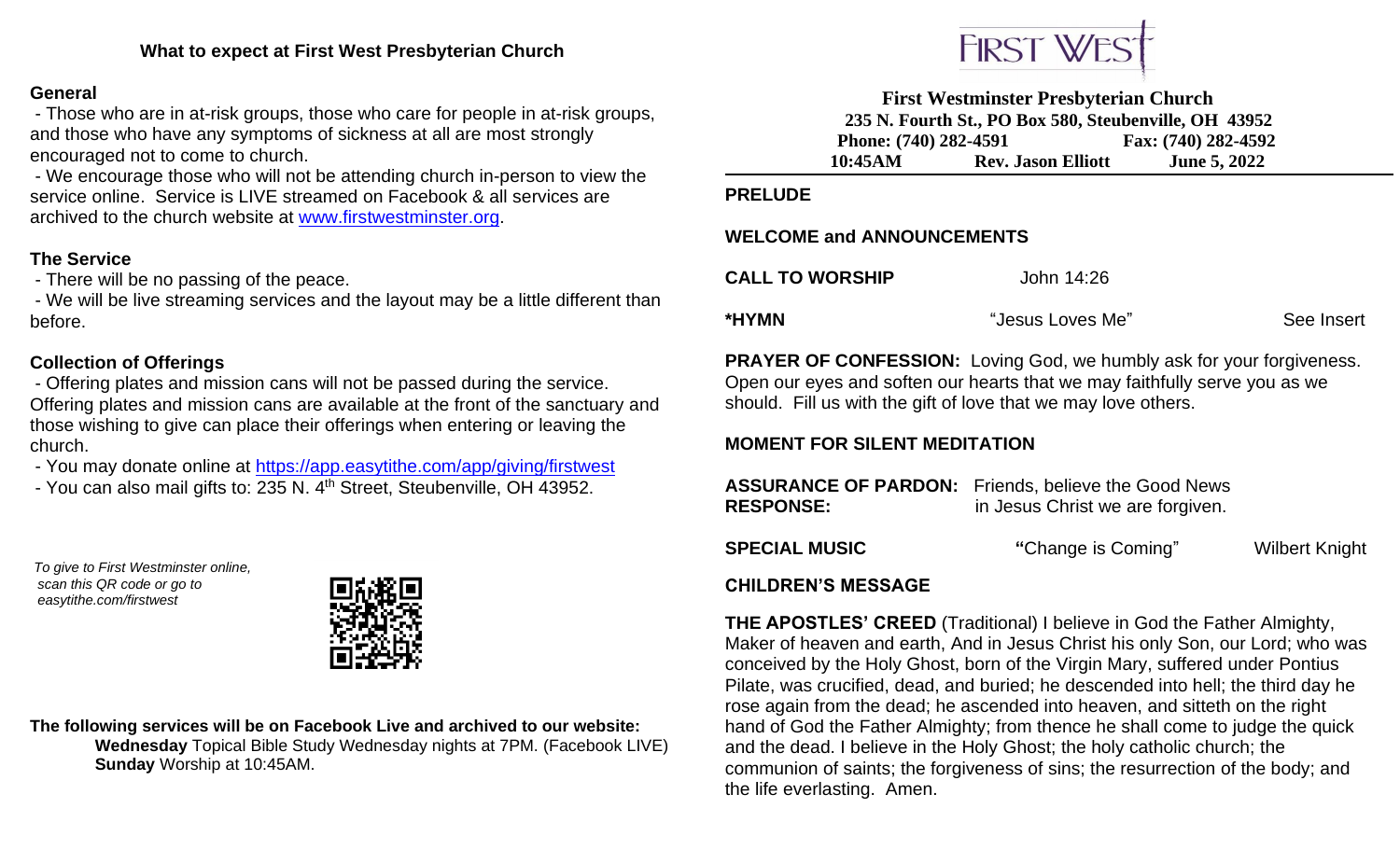### **General**

- Those who are in at-risk groups, those who care for people in at-risk groups, and those who have any symptoms of sickness at all are most strongly encouraged not to come to church.

- We encourage those who will not be attending church in-person to view the service online. Service is LIVE streamed on Facebook & all services are archived to the church website at [www.firstwestminster.org.](http://www.firstwestminster.org/)

# **The Service**

- There will be no passing of the peace.

- We will be live streaming services and the layout may be a little different than before.

## **Collection of Offerings**

- Offering plates and mission cans will not be passed during the service. Offering plates and mission cans are available at the front of the sanctuary and those wishing to give can place their offerings when entering or leaving the church.

- You may donate online at<https://app.easytithe.com/app/giving/firstwest>
- You can also mail gifts to: 235 N. 4<sup>th</sup> Street, Steubenville, OH 43952.

*To give to First Westminster online, scan this QR code or go to easytithe.com/firstwest*



**The following services will be on Facebook Live and archived to our website: Wednesday** Topical Bible Study Wednesday nights at 7PM. (Facebook LIVE)  **Sunday** Worship at 10:45AM.



**First Westminster Presbyterian Church 235 N. Fourth St., PO Box 580, Steubenville, OH 43952 Phone:** (740) 282-4591 **Fax:** (740) 282-4592 **10:45AM Rev. Jason Elliott June 5, 2022**

#### **PRELUDE**

#### **WELCOME and ANNOUNCEMENTS**

| <b>CALL TO WORSHIP</b> | John 14:26       |            |
|------------------------|------------------|------------|
| *HYMN                  | "Jesus Loves Me" | See Insert |

**PRAYER OF CONFESSION:** Loving God, we humbly ask for your forgiveness. Open our eyes and soften our hearts that we may faithfully serve you as we should. Fill us with the gift of love that we may love others.

## **MOMENT FOR SILENT MEDITATION**

| <b>RESPONSE:</b>     | <b>ASSURANCE OF PARDON:</b> Friends, believe the Good News<br>in Jesus Christ we are forgiven. |                       |
|----------------------|------------------------------------------------------------------------------------------------|-----------------------|
| <b>SPECIAL MUSIC</b> | "Change is Coming"                                                                             | <b>Wilbert Knight</b> |
| AUU BBENIA MEAQAAF   |                                                                                                |                       |

#### **CHILDREN'S MESSAGE**

**THE APOSTLES' CREED** (Traditional) I believe in God the Father Almighty, Maker of heaven and earth, And in Jesus Christ his only Son, our Lord; who was conceived by the Holy Ghost, born of the Virgin Mary, suffered under Pontius Pilate, was crucified, dead, and buried; he descended into hell; the third day he rose again from the dead; he ascended into heaven, and sitteth on the right hand of God the Father Almighty; from thence he shall come to judge the quick and the dead. I believe in the Holy Ghost; the holy catholic church; the communion of saints; the forgiveness of sins; the resurrection of the body; and the life everlasting. Amen.